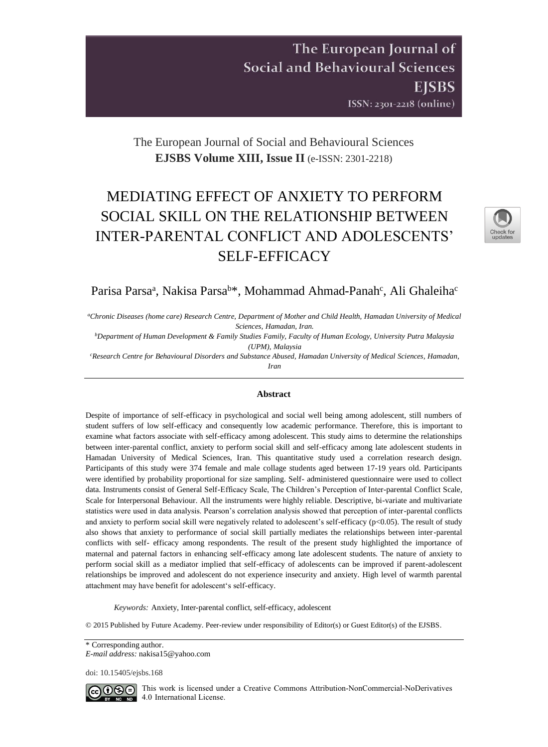# The European Journal of **Social and Behavioural Sciences EISBS** ISSN: 2301-2218 (online)

# The European Journal of Social and Behavioural Sciences **EJSBS Volume XIII, Issue II** (e-ISSN: 2301-2218)

# MEDIATING EFFECT OF ANXIETY TO PERFORM SOCIAL SKILL ON THE RELATIONSHIP BETWEEN INTER-PARENTAL CONFLICT AND ADOLESCENTS' SELF-EFFICACY



# Parisa Parsa<sup>a</sup>, Nakisa Parsa<sup>b\*</sup>, Mohammad Ahmad-Panah<sup>c</sup>, Ali Ghaleiha<sup>c</sup>

*<sup>a</sup>Chronic Diseases (home care) Research Centre, Department of Mother and Child Health, Hamadan University of Medical Sciences, Hamadan, Iran.*

*<sup>b</sup>Department of Human Development & Family Studies Family, Faculty of Human Ecology, University Putra Malaysia (UPM), Malaysia*

*<sup>c</sup>Research Centre for Behavioural Disorders and Substance Abused, Hamadan University of Medical Sciences, Hamadan, Iran*

## **Abstract**

Despite of importance of self-efficacy in psychological and social well being among adolescent, still numbers of student suffers of low self-efficacy and consequently low academic performance. Therefore, this is important to examine what factors associate with self-efficacy among adolescent. This study aims to determine the relationships between inter-parental conflict, anxiety to perform social skill and self-efficacy among late adolescent students in Hamadan University of Medical Sciences, Iran. This quantitative study used a correlation research design. Participants of this study were 374 female and male collage students aged between 17-19 years old. Participants were identified by probability proportional for size sampling. Self- administered questionnaire were used to collect data. Instruments consist of General Self-Efficacy Scale, The Children's Perception of Inter-parental Conflict Scale, Scale for Interpersonal Behaviour. All the instruments were highly reliable. Descriptive, bi-variate and multivariate statistics were used in data analysis. Pearson's correlation analysis showed that perception of inter-parental conflicts and anxiety to perform social skill were negatively related to adolescent's self-efficacy (p<0.05). The result of study also shows that anxiety to performance of social skill partially mediates the relationships between inter-parental conflicts with self- efficacy among respondents. The result of the present study highlighted the importance of maternal and paternal factors in enhancing self-efficacy among late adolescent students. The nature of anxiety to perform social skill as a mediator implied that self-efficacy of adolescents can be improved if parent-adolescent relationships be improved and adolescent do not experience insecurity and anxiety. High level of warmth parental attachment may have benefit for adolescent's self-efficacy.

*Keywords:* Anxiety, Inter-parental conflict, self-efficacy, adolescent

© 2015 Published by Future Academy. Peer-review under responsibility of Editor(s) or Guest Editor(s) of the EJSBS.

\* Corresponding author. *E-mail address:* nakisa15@yahoo.com

doi[: 10.15405/ejsbs.168](https://doi.org/10.15405/ejsbs.168) 



CCO SO This work is licensed under a Creative Commons Attribution-NonCommercial-NoDerivatives 4.0 International License.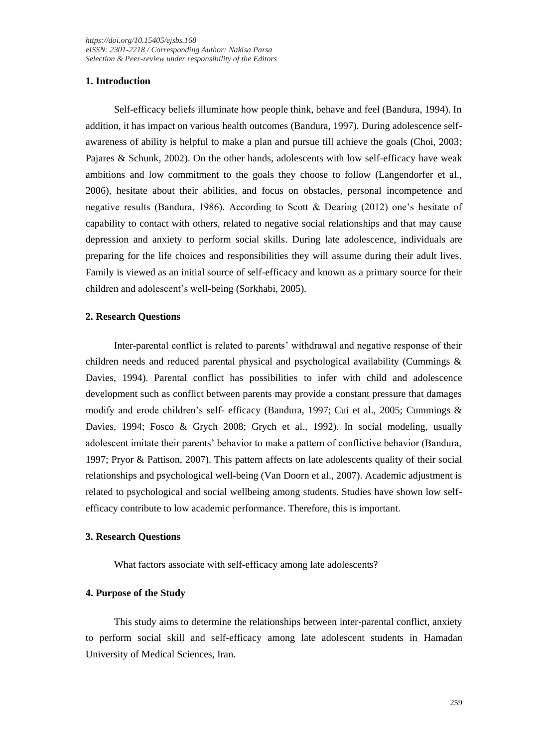# **1. Introduction**

Self-efficacy beliefs illuminate how people think, behave and feel (Bandura, 1994). In addition, it has impact on various health outcomes (Bandura, 1997). During adolescence selfawareness of ability is helpful to make a plan and pursue till achieve the goals (Choi, 2003; Pajares & Schunk, 2002). On the other hands, adolescents with low self-efficacy have weak ambitions and low commitment to the goals they choose to follow (Langendorfer et al., 2006), hesitate about their abilities, and focus on obstacles, personal incompetence and negative results (Bandura, 1986). According to Scott & Dearing (2012) one's hesitate of capability to contact with others, related to negative social relationships and that may cause depression and anxiety to perform social skills. During late adolescence, individuals are preparing for the life choices and responsibilities they will assume during their adult lives. Family is viewed as an initial source of self-efficacy and known as a primary source for their children and adolescent's well-being (Sorkhabi, 2005).

### **2. Research Questions**

Inter-parental conflict is related to parents' withdrawal and negative response of their children needs and reduced parental physical and psychological availability (Cummings & Davies, 1994). Parental conflict has possibilities to infer with child and adolescence development such as conflict between parents may provide a constant pressure that damages modify and erode children's self- efficacy (Bandura, 1997; Cui et al., 2005; Cummings & Davies, 1994; Fosco & Grych 2008; Grych et al., 1992). In social modeling, usually adolescent imitate their parents' behavior to make a pattern of conflictive behavior (Bandura, 1997; Pryor & Pattison, 2007). This pattern affects on late adolescents quality of their social relationships and psychological well-being (Van Doorn et al., 2007). Academic adjustment is related to psychological and social wellbeing among students. Studies have shown low selfefficacy contribute to low academic performance. Therefore, this is important.

#### **3. Research Questions**

What factors associate with self-efficacy among late adolescents?

#### **4. Purpose of the Study**

This study aims to determine the relationships between inter-parental conflict, anxiety to perform social skill and self-efficacy among late adolescent students in Hamadan University of Medical Sciences, Iran.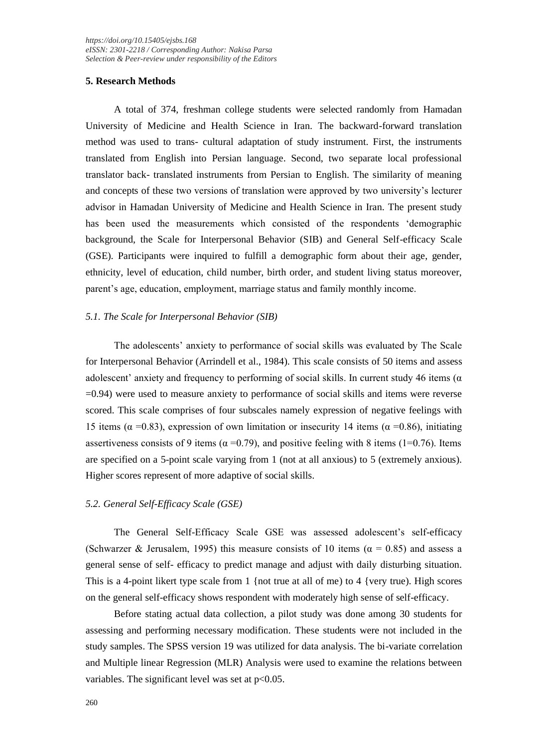### **5. Research Methods**

A total of 374, freshman college students were selected randomly from Hamadan University of Medicine and Health Science in Iran. The backward-forward translation method was used to trans- cultural adaptation of study instrument. First, the instruments translated from English into Persian language. Second, two separate local professional translator back- translated instruments from Persian to English. The similarity of meaning and concepts of these two versions of translation were approved by two university's lecturer advisor in Hamadan University of Medicine and Health Science in Iran. The present study has been used the measurements which consisted of the respondents 'demographic background, the Scale for Interpersonal Behavior (SIB) and General Self-efficacy Scale (GSE). Participants were inquired to fulfill a demographic form about their age, gender, ethnicity, level of education, child number, birth order, and student living status moreover, parent's age, education, employment, marriage status and family monthly income.

### *5.1. The Scale for Interpersonal Behavior (SIB)*

The adolescents' anxiety to performance of social skills was evaluated by The Scale for Interpersonal Behavior (Arrindell et al., 1984). This scale consists of 50 items and assess adolescent' anxiety and frequency to performing of social skills. In current study 46 items ( $\alpha$ ) =0.94) were used to measure anxiety to performance of social skills and items were reverse scored. This scale comprises of four subscales namely expression of negative feelings with 15 items ( $\alpha$  =0.83), expression of own limitation or insecurity 14 items ( $\alpha$  =0.86), initiating assertiveness consists of 9 items ( $\alpha$  =0.79), and positive feeling with 8 items (1=0.76). Items are specified on a 5-point scale varying from 1 (not at all anxious) to 5 (extremely anxious). Higher scores represent of more adaptive of social skills.

#### *5.2. General Self-Efficacy Scale (GSE)*

The General Self-Efficacy Scale GSE was assessed adolescent's self-efficacy (Schwarzer & Jerusalem, 1995) this measure consists of 10 items ( $\alpha = 0.85$ ) and assess a general sense of self- efficacy to predict manage and adjust with daily disturbing situation. This is a 4-point likert type scale from  $1 \{ \text{not true at all of me} \}$  to  $4 \{ \text{very true} \}$ . High scores on the general self-efficacy shows respondent with moderately high sense of self-efficacy.

Before stating actual data collection, a pilot study was done among 30 students for assessing and performing necessary modification. These students were not included in the study samples. The SPSS version 19 was utilized for data analysis. The bi-variate correlation and Multiple linear Regression (MLR) Analysis were used to examine the relations between variables. The significant level was set at  $p<0.05$ .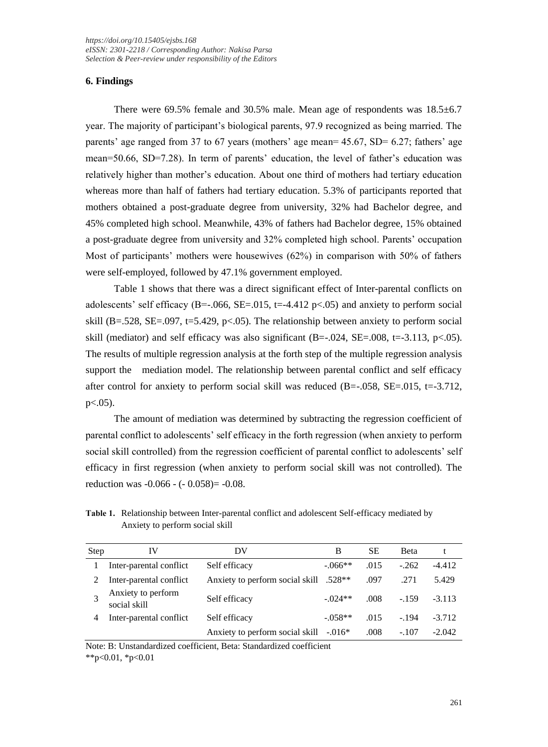# **6. Findings**

There were 69.5% female and 30.5% male. Mean age of respondents was 18.5±6.7 year. The majority of participant's biological parents, 97.9 recognized as being married. The parents' age ranged from 37 to 67 years (mothers' age mean=  $45.67$ , SD=  $6.27$ ; fathers' age mean=50.66, SD=7.28). In term of parents' education, the level of father's education was relatively higher than mother's education. About one third of mothers had tertiary education whereas more than half of fathers had tertiary education. 5.3% of participants reported that mothers obtained a post-graduate degree from university, 32% had Bachelor degree, and 45% completed high school. Meanwhile, 43% of fathers had Bachelor degree, 15% obtained a post-graduate degree from university and 32% completed high school. Parents' occupation Most of participants' mothers were housewives (62%) in comparison with 50% of fathers were self-employed, followed by 47.1% government employed.

Table 1 shows that there was a direct significant effect of Inter-parental conflicts on adolescents' self efficacy (B=-.066, SE=.015, t=-4.412  $p<0.05$ ) and anxiety to perform social skill (B=.528, SE=.097, t=5.429, p<.05). The relationship between anxiety to perform social skill (mediator) and self efficacy was also significant  $(B=-.024, SE=.008, t=-3.113, p<.05)$ . The results of multiple regression analysis at the forth step of the multiple regression analysis support the mediation model. The relationship between parental conflict and self efficacy after control for anxiety to perform social skill was reduced  $(B=-.058, SE=.015, t=-3.712,$  $p<.05$ ).

The amount of mediation was determined by subtracting the regression coefficient of parental conflict to adolescents' self efficacy in the forth regression (when anxiety to perform social skill controlled) from the regression coefficient of parental conflict to adolescents' self efficacy in first regression (when anxiety to perform social skill was not controlled). The reduction was -0.066 - (- 0.058)= -0.08.

| Step | IV                                 | DV                                                 | В          | SЕ   | <b>Beta</b> |          |
|------|------------------------------------|----------------------------------------------------|------------|------|-------------|----------|
|      | Inter-parental conflict            | Self efficacy                                      | $-066**$   | .015 | $-262$      | $-4.412$ |
|      | Inter-parental conflict            | Anxiety to perform social skill .528 <sup>**</sup> |            | .097 | .271        | 5.429    |
| 2    | Anxiety to perform<br>social skill | Self efficacy                                      | $-0.024**$ | .008 | $-159$      | $-3.113$ |
|      | Inter-parental conflict            | Self efficacy                                      | $-.058**$  | .015 | $-.194$     | $-3.712$ |
|      |                                    | Anxiety to perform social skill                    | $-0.016*$  | .008 | $-.107$     | $-2.042$ |

**Table 1.** Relationship between Inter-parental conflict and adolescent Self-efficacy mediated by Anxiety to perform social skill

Note: B: Unstandardized coefficient, Beta: Standardized coefficient

 $*p<0.01, *p<0.01$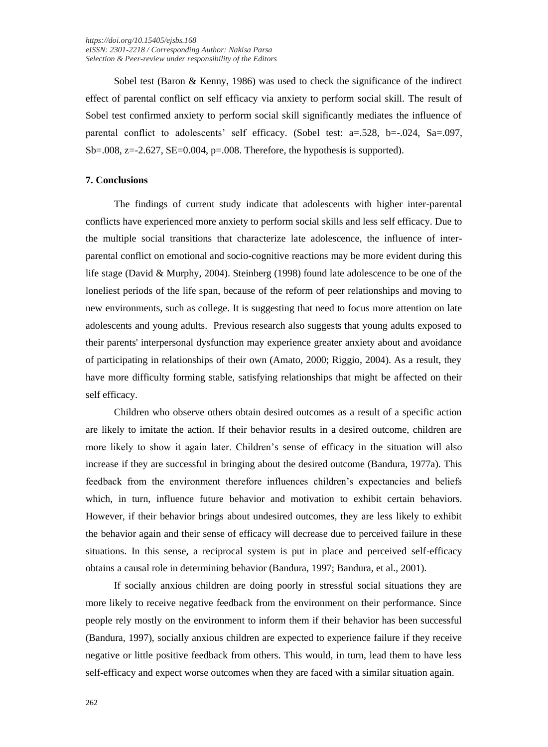Sobel test (Baron & Kenny, 1986) was used to check the significance of the indirect effect of parental conflict on self efficacy via anxiety to perform social skill. The result of Sobel test confirmed anxiety to perform social skill significantly mediates the influence of parental conflict to adolescents' self efficacy. (Sobel test: a=.528, b=-.024, Sa=.097,  $Sb=.008$ ,  $z=.2.627$ ,  $SE=.0.004$ ,  $p=.008$ . Therefore, the hypothesis is supported).

#### **7. Conclusions**

The findings of current study indicate that adolescents with higher inter-parental conflicts have experienced more anxiety to perform social skills and less self efficacy. Due to the multiple social transitions that characterize late adolescence, the influence of interparental conflict on emotional and socio-cognitive reactions may be more evident during this life stage (David & Murphy, 2004). Steinberg (1998) found late adolescence to be one of the loneliest periods of the life span, because of the reform of peer relationships and moving to new environments, such as college. It is suggesting that need to focus more attention on late adolescents and young adults. Previous research also suggests that young adults exposed to their parents' interpersonal dysfunction may experience greater anxiety about and avoidance of participating in relationships of their own (Amato, 2000; Riggio, 2004). As a result, they have more difficulty forming stable, satisfying relationships that might be affected on their self efficacy.

Children who observe others obtain desired outcomes as a result of a specific action are likely to imitate the action. If their behavior results in a desired outcome, children are more likely to show it again later. Children's sense of efficacy in the situation will also increase if they are successful in bringing about the desired outcome (Bandura, 1977a). This feedback from the environment therefore influences children's expectancies and beliefs which, in turn, influence future behavior and motivation to exhibit certain behaviors. However, if their behavior brings about undesired outcomes, they are less likely to exhibit the behavior again and their sense of efficacy will decrease due to perceived failure in these situations. In this sense, a reciprocal system is put in place and perceived self-efficacy obtains a causal role in determining behavior (Bandura, 1997; Bandura, et al., 2001).

If socially anxious children are doing poorly in stressful social situations they are more likely to receive negative feedback from the environment on their performance. Since people rely mostly on the environment to inform them if their behavior has been successful (Bandura, 1997), socially anxious children are expected to experience failure if they receive negative or little positive feedback from others. This would, in turn, lead them to have less self-efficacy and expect worse outcomes when they are faced with a similar situation again.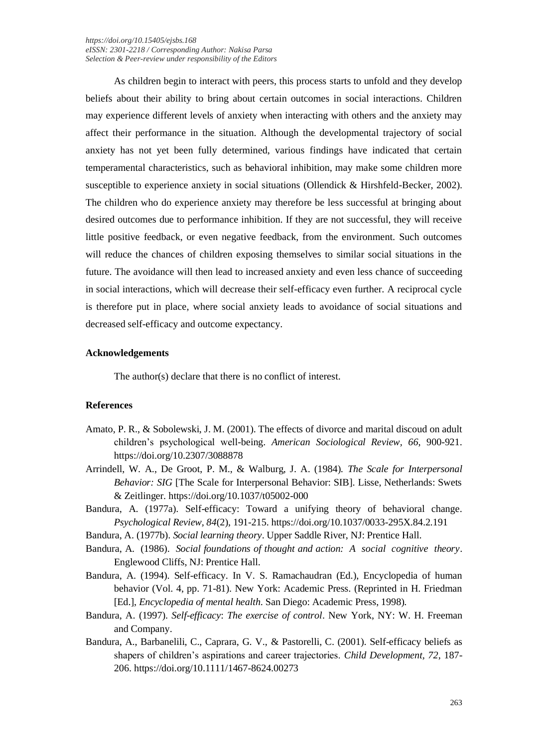*<https://doi.org/10.15405/ejsbs.168> eISSN: 2301-2218 / Corresponding Author: Nakisa Parsa Selection & Peer-review under responsibility of the Editors*

As children begin to interact with peers, this process starts to unfold and they develop beliefs about their ability to bring about certain outcomes in social interactions. Children may experience different levels of anxiety when interacting with others and the anxiety may affect their performance in the situation. Although the developmental trajectory of social anxiety has not yet been fully determined, various findings have indicated that certain temperamental characteristics, such as behavioral inhibition, may make some children more susceptible to experience anxiety in social situations (Ollendick & Hirshfeld-Becker, 2002). The children who do experience anxiety may therefore be less successful at bringing about desired outcomes due to performance inhibition. If they are not successful, they will receive little positive feedback, or even negative feedback, from the environment. Such outcomes will reduce the chances of children exposing themselves to similar social situations in the future. The avoidance will then lead to increased anxiety and even less chance of succeeding in social interactions, which will decrease their self-efficacy even further. A reciprocal cycle is therefore put in place, where social anxiety leads to avoidance of social situations and decreased self-efficacy and outcome expectancy.

#### **Acknowledgements**

The author(s) declare that there is no conflict of interest.

#### **References**

- Amato, P. R., & Sobolewski, J. M. (2001). The effects of divorce and marital discoud on adult children's psychological well-being. *American Sociological Review, 66*, 900-921. https://doi.org/10.2307/3088878
- Arrindell, W. A., De Groot, P. M., & Walburg, J. A. (1984). *The Scale for Interpersonal Behavior: SIG* [The Scale for Interpersonal Behavior: SIB]. Lisse, Netherlands: Swets & Zeitlinger. https://doi.org/10.1037/t05002-000
- Bandura, A. (1977a). Self-efficacy: Toward a unifying theory of behavioral change. *Psychological Review, 84*(2), 191-215. https://doi.org/10.1037/0033-295X.84.2.191
- Bandura, A. (1977b). *Social learning theory*. Upper Saddle River, NJ: Prentice Hall.
- Bandura, A. (1986). *Social foundations of thought and action: A social cognitive theory*. Englewood Cliffs, NJ: Prentice Hall.
- Bandura, A. (1994). Self-efficacy. In V. S. Ramachaudran (Ed.), Encyclopedia of human behavior (Vol. 4, pp. 71-81). New York: Academic Press. (Reprinted in H. Friedman [Ed.], *Encyclopedia of mental health*. San Diego: Academic Press, 1998).
- Bandura, A. (1997). *Self-efficacy*: *The exercise of control*. New York, NY: W. H. Freeman and Company.
- Bandura, A., Barbanelili, C., Caprara, G. V., & Pastorelli, C. (2001). Self-efficacy beliefs as shapers of children's aspirations and career trajectories. *Child Development, 72*, 187- 206. https://doi.org/10.1111/1467-8624.00273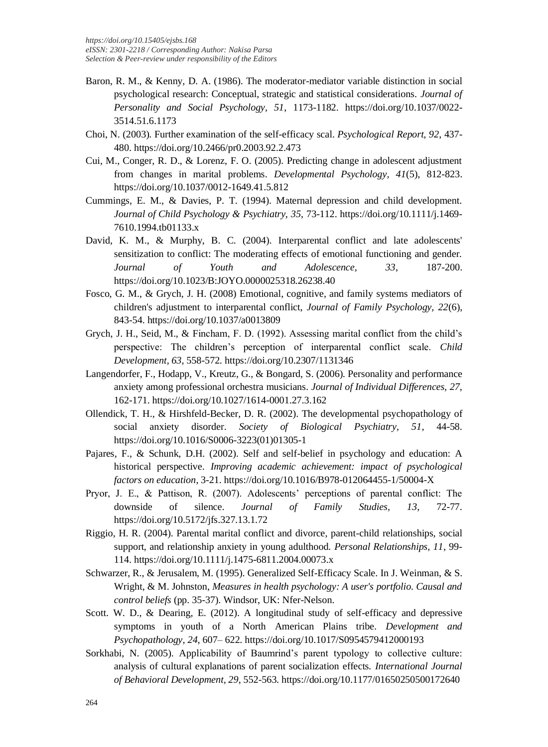- Baron, R. M., & Kenny, D. A. (1986). The moderator-mediator variable distinction in social psychological research: Conceptual, strategic and statistical considerations. *Journal of Personality and Social Psychology, 51*, 1173-1182. https://doi.org/10.1037/0022- 3514.51.6.1173
- Choi, N. (2003). Further examination of the self-efficacy scal. *Psychological Report, 92*, 437- 480. https://doi.org/10.2466/pr0.2003.92.2.473
- Cui, M., Conger, R. D., & Lorenz, F. O. (2005). Predicting change in adolescent adjustment from changes in marital problems. *Developmental Psychology, 41*(5), 812-823. https://doi.org/10.1037/0012-1649.41.5.812
- Cummings, E. M., & Davies, P. T. (1994). Maternal depression and child development. *Journal of Child Psychology & Psychiatry, 35*, 73-112. https://doi.org/10.1111/j.1469- 7610.1994.tb01133.x
- David, K. M., & Murphy, B. C. (2004). Interparental conflict and late adolescents' sensitization to conflict: The moderating effects of emotional functioning and gender. *Journal of Youth and Adolescence, 33*, 187-200. https://doi.org/10.1023/B:JOYO.0000025318.26238.40
- Fosco, G. M., & Grych, J. H. (2008) Emotional, cognitive, and family systems mediators of children's adjustment to interparental conflict, *Journal of Family Psychology, 22*(6), 843-54. https://doi.org/10.1037/a0013809
- Grych, J. H., Seid, M., & Fincham, F. D. (1992). Assessing marital conflict from the child's perspective: The children's perception of interparental conflict scale. *Child Development, 63*, 558-572. https://doi.org/10.2307/1131346
- Langendorfer, F., Hodapp, V., Kreutz, G., & Bongard, S. (2006). Personality and performance anxiety among professional orchestra musicians. *Journal of Individual Differences, 27*, 162-171. https://doi.org/10.1027/1614-0001.27.3.162
- Ollendick, T. H., & Hirshfeld-Becker, D. R. (2002). The developmental psychopathology of social anxiety disorder. *Society of Biological Psychiatry, 51*, 44-58. https://doi.org/10.1016/S0006-3223(01)01305-1
- Pajares, F., & Schunk, D.H. (2002). Self and self-belief in psychology and education: A historical perspective. *Improving academic achievement: impact of psychological factors on education*, 3-21. https://doi.org/10.1016/B978-012064455-1/50004-X
- Pryor, J. E., & Pattison, R. (2007). Adolescents' perceptions of parental conflict: The downside of silence. *Journal of Family Studies, 13*, 72-77. https://doi.org/10.5172/jfs.327.13.1.72
- Riggio, H. R. (2004). Parental marital conflict and divorce, parent-child relationships, social support, and relationship anxiety in young adulthood. *Personal Relationships, 11*, 99- 114. https://doi.org/10.1111/j.1475-6811.2004.00073.x
- Schwarzer, R., & Jerusalem, M. (1995). Generalized Self-Efficacy Scale. In J. Weinman, & S. Wright, & M. Johnston, *Measures in health psychology: A user's portfolio. Causal and control beliefs* (pp. 35-37). Windsor, UK: Nfer-Nelson.
- Scott. W. D., & Dearing, E. (2012). A longitudinal study of self-efficacy and depressive symptoms in youth of a North American Plains tribe. *Development and Psychopathology, 24*, 607– 622. https://doi.org/10.1017/S0954579412000193
- Sorkhabi, N. (2005). Applicability of Baumrind's parent typology to collective culture: analysis of cultural explanations of parent socialization effects. *International Journal of Behavioral Development, 29*, 552-563. https://doi.org/10.1177/01650250500172640